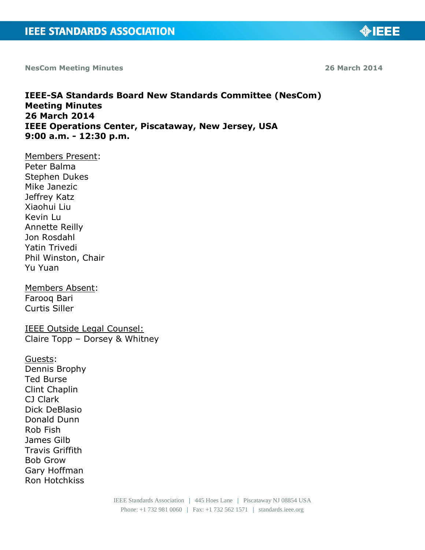**NesCom Meeting Minutes 26 March 2014**

**MIEEE** 

# **IEEE-SA Standards Board New Standards Committee (NesCom)**

**Meeting Minutes 26 March 2014 IEEE Operations Center, Piscataway, New Jersey, USA 9:00 a.m. - 12:30 p.m.**

Members Present: Peter Balma Stephen Dukes Mike Janezic Jeffrey Katz Xiaohui Liu Kevin Lu Annette Reilly Jon Rosdahl Yatin Trivedi Phil Winston, Chair Yu Yuan

Members Absent: Farooq Bari Curtis Siller

IEEE Outside Legal Counsel: Claire Topp – Dorsey & Whitney

Guests: Dennis Brophy Ted Burse Clint Chaplin CJ Clark Dick DeBlasio Donald Dunn Rob Fish James Gilb Travis Griffith Bob Grow Gary Hoffman Ron Hotchkiss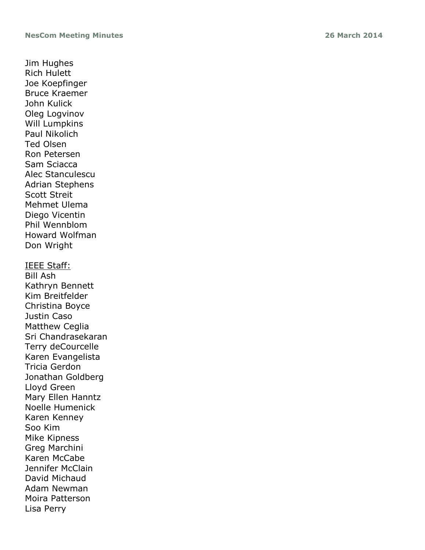Jim Hughes Rich Hulett Joe Koepfinger Bruce Kraemer John Kulick Oleg Logvinov Will Lumpkins Paul Nikolich Ted Olsen Ron Petersen Sam Sciacca Alec Stanculescu Adrian Stephens Scott Streit Mehmet Ulema Diego Vicentin Phil Wennblom Howard Wolfman Don Wright IEEE Staff: Bill Ash

Kathryn Bennett Kim Breitfelder Christina Boyce Justin Caso Matthew Ceglia Sri Chandrasekaran Terry deCourcelle Karen Evangelista Tricia Gerdon Jonathan Goldberg Lloyd Green Mary Ellen Hanntz Noelle Humenick Karen Kenney Soo Kim Mike Kipness Greg Marchini Karen McCabe Jennifer McClain David Michaud Adam Newman Moira Patterson Lisa Perry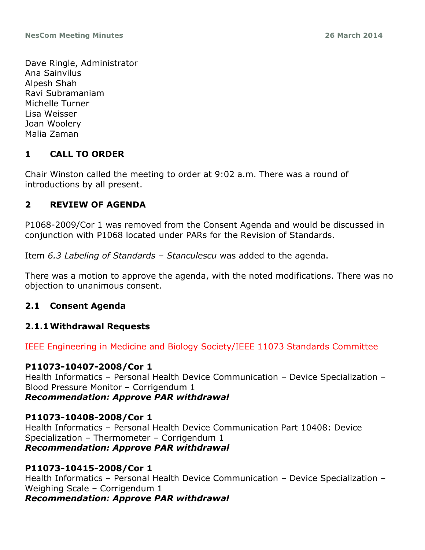Dave Ringle, Administrator Ana Sainvilus Alpesh Shah Ravi Subramaniam Michelle Turner Lisa Weisser Joan Woolery Malia Zaman

# **1 CALL TO ORDER**

Chair Winston called the meeting to order at 9:02 a.m. There was a round of introductions by all present.

# **2 REVIEW OF AGENDA**

P1068-2009/Cor 1 was removed from the Consent Agenda and would be discussed in conjunction with P1068 located under PARs for the Revision of Standards.

Item *6.3 Labeling of Standards – Stanculescu* was added to the agenda.

There was a motion to approve the agenda, with the noted modifications. There was no objection to unanimous consent.

# **2.1 Consent Agenda**

# **2.1.1Withdrawal Requests**

IEEE Engineering in Medicine and Biology Society/IEEE 11073 Standards Committee

#### **P11073-10407-2008/Cor 1**

Health Informatics – Personal Health Device Communication – Device Specialization – Blood Pressure Monitor – Corrigendum 1 *Recommendation: Approve PAR withdrawal*

# **P11073-10408-2008/Cor 1**

Health Informatics – Personal Health Device Communication Part 10408: Device Specialization – Thermometer – Corrigendum 1 *Recommendation: Approve PAR withdrawal*

#### **P11073-10415-2008/Cor 1**

Health Informatics – Personal Health Device Communication – Device Specialization – Weighing Scale – Corrigendum 1 *Recommendation: Approve PAR withdrawal*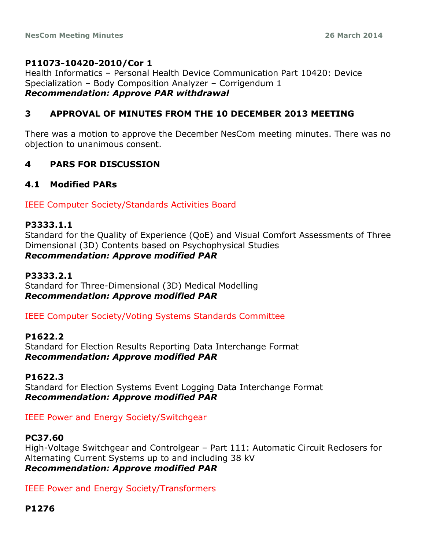# **P11073-10420-2010/Cor 1**

Health Informatics – Personal Health Device Communication Part 10420: Device Specialization – Body Composition Analyzer – Corrigendum 1 *Recommendation: Approve PAR withdrawal*

# **3 APPROVAL OF MINUTES FROM THE 10 DECEMBER 2013 MEETING**

There was a motion to approve the December NesCom meeting minutes. There was no objection to unanimous consent.

# **4 PARS FOR DISCUSSION**

# **4.1 Modified PARs**

IEEE Computer Society/Standards Activities Board

#### **P3333.1.1**

Standard for the Quality of Experience (QoE) and Visual Comfort Assessments of Three Dimensional (3D) Contents based on Psychophysical Studies *Recommendation: Approve modified PAR*

# **P3333.2.1**

Standard for Three-Dimensional (3D) Medical Modelling *Recommendation: Approve modified PAR*

IEEE Computer Society/Voting Systems Standards Committee

# **P1622.2**

Standard for Election Results Reporting Data Interchange Format *Recommendation: Approve modified PAR*

# **P1622.3**

Standard for Election Systems Event Logging Data Interchange Format *Recommendation: Approve modified PAR*

IEEE Power and Energy Society/Switchgear

# **PC37.60**

High-Voltage Switchgear and Controlgear – Part 111: Automatic Circuit Reclosers for Alternating Current Systems up to and including 38 kV *Recommendation: Approve modified PAR*

IEEE Power and Energy Society/Transformers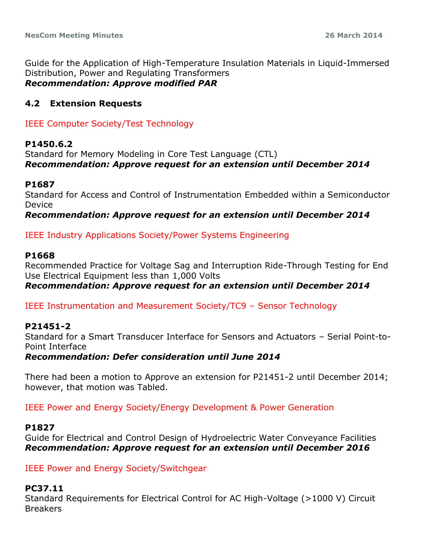Guide for the Application of High-Temperature Insulation Materials in Liquid-Immersed Distribution, Power and Regulating Transformers *Recommendation: Approve modified PAR*

# **4.2 Extension Requests**

IEEE Computer Society/Test Technology

# **P1450.6.2**

Standard for Memory Modeling in Core Test Language (CTL) *Recommendation: Approve request for an extension until December 2014*

#### **P1687**

Standard for Access and Control of Instrumentation Embedded within a Semiconductor Device

#### *Recommendation: Approve request for an extension until December 2014*

# IEEE Industry Applications Society/Power Systems Engineering

#### **P1668**

Recommended Practice for Voltage Sag and Interruption Ride-Through Testing for End Use Electrical Equipment less than 1,000 Volts

*Recommendation: Approve request for an extension until December 2014*

IEEE Instrumentation and Measurement Society/TC9 – Sensor Technology

# **P21451-2**

Standard for a Smart Transducer Interface for Sensors and Actuators – Serial Point-to-Point Interface

# *Recommendation: Defer consideration until June 2014*

There had been a motion to Approve an extension for P21451-2 until December 2014; however, that motion was Tabled.

IEEE Power and Energy Society/Energy Development & Power Generation

#### **P1827**

Guide for Electrical and Control Design of Hydroelectric Water Conveyance Facilities *Recommendation: Approve request for an extension until December 2016*

IEEE Power and Energy Society/Switchgear

# **PC37.11**

Standard Requirements for Electrical Control for AC High-Voltage (>1000 V) Circuit Breakers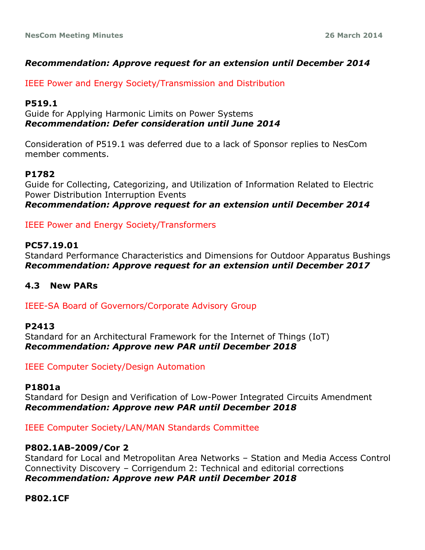# *Recommendation: Approve request for an extension until December 2014*

IEEE Power and Energy Society/Transmission and Distribution

# **P519.1**

Guide for Applying Harmonic Limits on Power Systems *Recommendation: Defer consideration until June 2014*

Consideration of P519.1 was deferred due to a lack of Sponsor replies to NesCom member comments.

# **P1782**

Guide for Collecting, Categorizing, and Utilization of Information Related to Electric Power Distribution Interruption Events *Recommendation: Approve request for an extension until December 2014*

IEEE Power and Energy Society/Transformers

# **PC57.19.01**

Standard Performance Characteristics and Dimensions for Outdoor Apparatus Bushings *Recommendation: Approve request for an extension until December 2017*

# **4.3 New PARs**

IEEE-SA Board of Governors/Corporate Advisory Group

# **P2413**

Standard for an Architectural Framework for the Internet of Things (IoT) *Recommendation: Approve new PAR until December 2018*

IEEE Computer Society/Design Automation

#### **P1801a**

Standard for Design and Verification of Low-Power Integrated Circuits Amendment *Recommendation: Approve new PAR until December 2018*

IEEE Computer Society/LAN/MAN Standards Committee

# **P802.1AB-2009/Cor 2**

Standard for Local and Metropolitan Area Networks – Station and Media Access Control Connectivity Discovery – Corrigendum 2: Technical and editorial corrections *Recommendation: Approve new PAR until December 2018*

# **P802.1CF**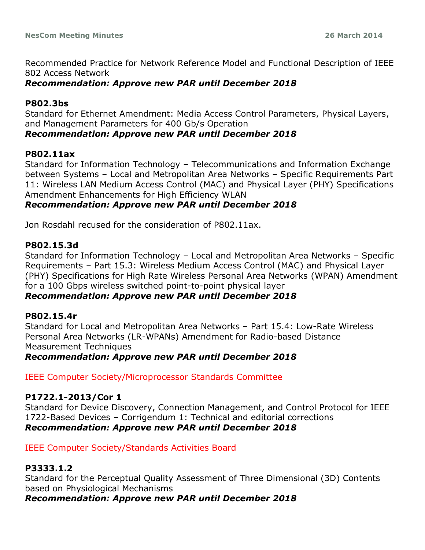Recommended Practice for Network Reference Model and Functional Description of IEEE 802 Access Network

#### *Recommendation: Approve new PAR until December 2018*

#### **P802.3bs**

Standard for Ethernet Amendment: Media Access Control Parameters, Physical Layers, and Management Parameters for 400 Gb/s Operation

#### *Recommendation: Approve new PAR until December 2018*

#### **P802.11ax**

Standard for Information Technology – Telecommunications and Information Exchange between Systems – Local and Metropolitan Area Networks – Specific Requirements Part 11: Wireless LAN Medium Access Control (MAC) and Physical Layer (PHY) Specifications Amendment Enhancements for High Efficiency WLAN

# *Recommendation: Approve new PAR until December 2018*

Jon Rosdahl recused for the consideration of P802.11ax.

#### **P802.15.3d**

Standard for Information Technology – Local and Metropolitan Area Networks – Specific Requirements – Part 15.3: Wireless Medium Access Control (MAC) and Physical Layer (PHY) Specifications for High Rate Wireless Personal Area Networks (WPAN) Amendment for a 100 Gbps wireless switched point-to-point physical layer

# *Recommendation: Approve new PAR until December 2018*

# **P802.15.4r**

Standard for Local and Metropolitan Area Networks – Part 15.4: Low-Rate Wireless Personal Area Networks (LR-WPANs) Amendment for Radio-based Distance Measurement Techniques

#### *Recommendation: Approve new PAR until December 2018*

IEEE Computer Society/Microprocessor Standards Committee

#### **P1722.1-2013/Cor 1**

Standard for Device Discovery, Connection Management, and Control Protocol for IEEE 1722-Based Devices – Corrigendum 1: Technical and editorial corrections *Recommendation: Approve new PAR until December 2018*

#### IEEE Computer Society/Standards Activities Board

# **P3333.1.2**

Standard for the Perceptual Quality Assessment of Three Dimensional (3D) Contents based on Physiological Mechanisms

# *Recommendation: Approve new PAR until December 2018*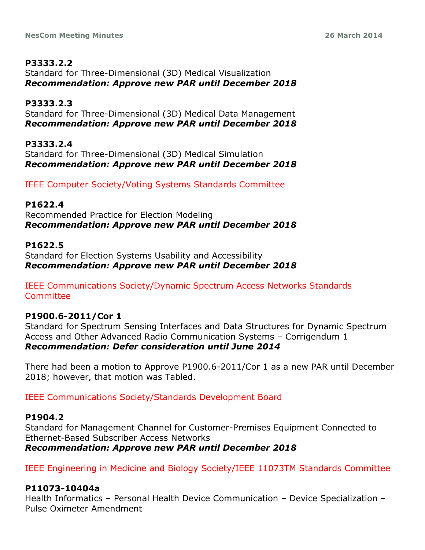#### **P3333.2.2** Standard for Three-Dimensional (3D) Medical Visualization *Recommendation: Approve new PAR until December 2018*

**P3333.2.3** Standard for Three-Dimensional (3D) Medical Data Management *Recommendation: Approve new PAR until December 2018*

**P3333.2.4** Standard for Three-Dimensional (3D) Medical Simulation *Recommendation: Approve new PAR until December 2018*

IEEE Computer Society/Voting Systems Standards Committee

# **P1622.4**

Recommended Practice for Election Modeling *Recommendation: Approve new PAR until December 2018*

# **P1622.5**

Standard for Election Systems Usability and Accessibility *Recommendation: Approve new PAR until December 2018*

IEEE Communications Society/Dynamic Spectrum Access Networks Standards Committee

# **P1900.6-2011/Cor 1**

Standard for Spectrum Sensing Interfaces and Data Structures for Dynamic Spectrum Access and Other Advanced Radio Communication Systems – Corrigendum 1 *Recommendation: Defer consideration until June 2014*

There had been a motion to Approve P1900.6-2011/Cor 1 as a new PAR until December 2018; however, that motion was Tabled.

IEEE Communications Society/Standards Development Board

# **P1904.2**

Standard for Management Channel for Customer-Premises Equipment Connected to Ethernet-Based Subscriber Access Networks *Recommendation: Approve new PAR until December 2018*

IEEE Engineering in Medicine and Biology Society/IEEE 11073TM Standards Committee

# **P11073-10404a**

Health Informatics – Personal Health Device Communication – Device Specialization – Pulse Oximeter Amendment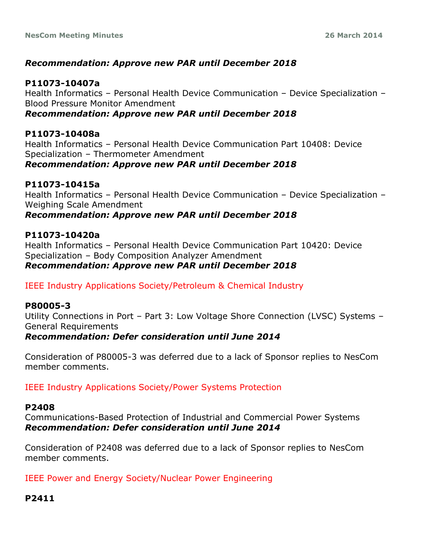# *Recommendation: Approve new PAR until December 2018*

#### **P11073-10407a**

Health Informatics – Personal Health Device Communication – Device Specialization – Blood Pressure Monitor Amendment

#### *Recommendation: Approve new PAR until December 2018*

# **P11073-10408a**

Health Informatics – Personal Health Device Communication Part 10408: Device Specialization – Thermometer Amendment *Recommendation: Approve new PAR until December 2018*

# **P11073-10415a**

Health Informatics – Personal Health Device Communication – Device Specialization – Weighing Scale Amendment

# *Recommendation: Approve new PAR until December 2018*

#### **P11073-10420a**

Health Informatics – Personal Health Device Communication Part 10420: Device Specialization – Body Composition Analyzer Amendment *Recommendation: Approve new PAR until December 2018*

# IEEE Industry Applications Society/Petroleum & Chemical Industry

#### **P80005-3**

Utility Connections in Port – Part 3: Low Voltage Shore Connection (LVSC) Systems – General Requirements *Recommendation: Defer consideration until June 2014*

Consideration of P80005-3 was deferred due to a lack of Sponsor replies to NesCom member comments.

IEEE Industry Applications Society/Power Systems Protection

#### **P2408**

Communications-Based Protection of Industrial and Commercial Power Systems *Recommendation: Defer consideration until June 2014*

Consideration of P2408 was deferred due to a lack of Sponsor replies to NesCom member comments.

IEEE Power and Energy Society/Nuclear Power Engineering

# **P2411**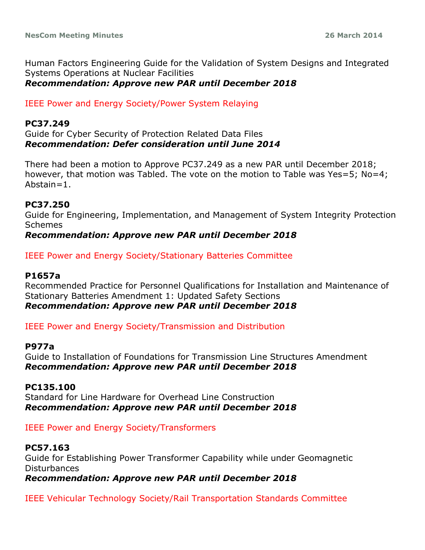Human Factors Engineering Guide for the Validation of System Designs and Integrated Systems Operations at Nuclear Facilities *Recommendation: Approve new PAR until December 2018*

IEEE Power and Energy Society/Power System Relaying

#### **PC37.249**

Guide for Cyber Security of Protection Related Data Files *Recommendation: Defer consideration until June 2014*

There had been a motion to Approve PC37.249 as a new PAR until December 2018; however, that motion was Tabled. The vote on the motion to Table was Yes=5; No=4; Abstain=1.

#### **PC37.250**

Guide for Engineering, Implementation, and Management of System Integrity Protection Schemes

# *Recommendation: Approve new PAR until December 2018*

#### IEEE Power and Energy Society/Stationary Batteries Committee

# **P1657a**

Recommended Practice for Personnel Qualifications for Installation and Maintenance of Stationary Batteries Amendment 1: Updated Safety Sections *Recommendation: Approve new PAR until December 2018*

IEEE Power and Energy Society/Transmission and Distribution

#### **P977a**

Guide to Installation of Foundations for Transmission Line Structures Amendment *Recommendation: Approve new PAR until December 2018*

#### **PC135.100**

Standard for Line Hardware for Overhead Line Construction *Recommendation: Approve new PAR until December 2018*

#### IEEE Power and Energy Society/Transformers

#### **PC57.163**

Guide for Establishing Power Transformer Capability while under Geomagnetic Disturbances

*Recommendation: Approve new PAR until December 2018*

IEEE Vehicular Technology Society/Rail Transportation Standards Committee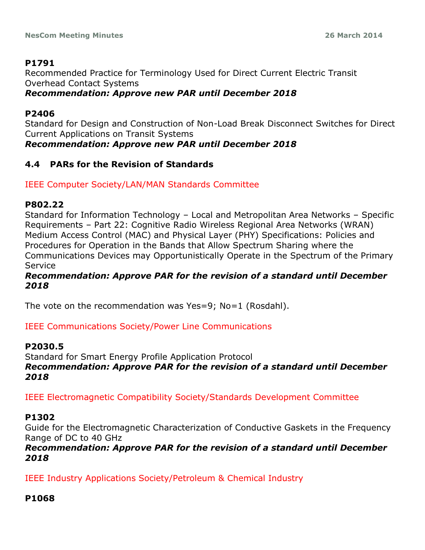# **P1791**

Recommended Practice for Terminology Used for Direct Current Electric Transit Overhead Contact Systems

# *Recommendation: Approve new PAR until December 2018*

# **P2406**

Standard for Design and Construction of Non-Load Break Disconnect Switches for Direct Current Applications on Transit Systems

*Recommendation: Approve new PAR until December 2018*

# **4.4 PARs for the Revision of Standards**

# IEEE Computer Society/LAN/MAN Standards Committee

# **P802.22**

Standard for Information Technology – Local and Metropolitan Area Networks – Specific Requirements – Part 22: Cognitive Radio Wireless Regional Area Networks (WRAN) Medium Access Control (MAC) and Physical Layer (PHY) Specifications: Policies and Procedures for Operation in the Bands that Allow Spectrum Sharing where the Communications Devices may Opportunistically Operate in the Spectrum of the Primary Service

# *Recommendation: Approve PAR for the revision of a standard until December 2018*

The vote on the recommendation was Yes=9; No=1 (Rosdahl).

# IEEE Communications Society/Power Line Communications

# **P2030.5**

Standard for Smart Energy Profile Application Protocol *Recommendation: Approve PAR for the revision of a standard until December 2018*

IEEE Electromagnetic Compatibility Society/Standards Development Committee

# **P1302**

Guide for the Electromagnetic Characterization of Conductive Gaskets in the Frequency Range of DC to 40 GHz

# *Recommendation: Approve PAR for the revision of a standard until December 2018*

IEEE Industry Applications Society/Petroleum & Chemical Industry

# **P1068**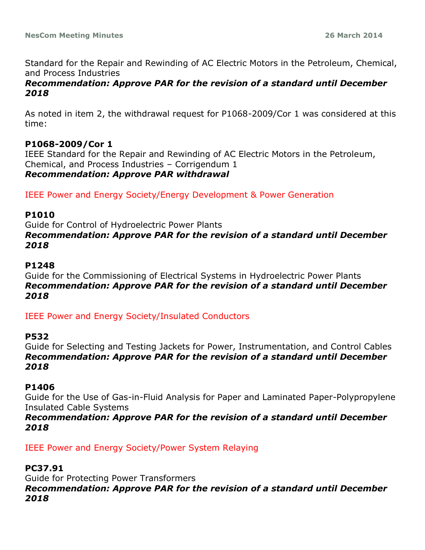Standard for the Repair and Rewinding of AC Electric Motors in the Petroleum, Chemical, and Process Industries

#### *Recommendation: Approve PAR for the revision of a standard until December 2018*

As noted in item 2, the withdrawal request for P1068-2009/Cor 1 was considered at this time:

# **P1068-2009/Cor 1**

IEEE Standard for the Repair and Rewinding of AC Electric Motors in the Petroleum, Chemical, and Process Industries – Corrigendum 1 *Recommendation: Approve PAR withdrawal*

IEEE Power and Energy Society/Energy Development & Power Generation

#### **P1010**

Guide for Control of Hydroelectric Power Plants *Recommendation: Approve PAR for the revision of a standard until December 2018*

#### **P1248**

Guide for the Commissioning of Electrical Systems in Hydroelectric Power Plants *Recommendation: Approve PAR for the revision of a standard until December 2018*

IEEE Power and Energy Society/Insulated Conductors

# **P532**

Guide for Selecting and Testing Jackets for Power, Instrumentation, and Control Cables *Recommendation: Approve PAR for the revision of a standard until December 2018*

# **P1406**

Guide for the Use of Gas-in-Fluid Analysis for Paper and Laminated Paper-Polypropylene Insulated Cable Systems

*Recommendation: Approve PAR for the revision of a standard until December 2018*

IEEE Power and Energy Society/Power System Relaying

# **PC37.91**

Guide for Protecting Power Transformers *Recommendation: Approve PAR for the revision of a standard until December 2018*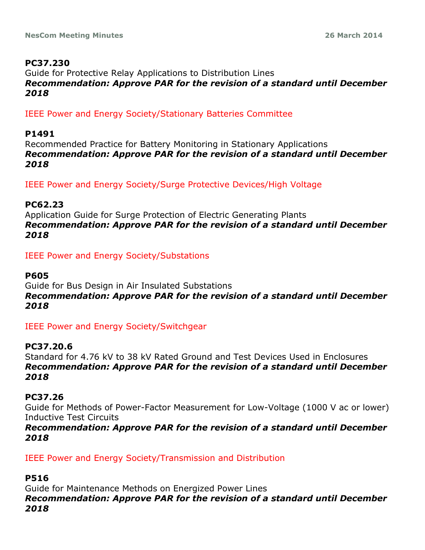# **PC37.230**

Guide for Protective Relay Applications to Distribution Lines *Recommendation: Approve PAR for the revision of a standard until December 2018*

IEEE Power and Energy Society/Stationary Batteries Committee

### **P1491**

Recommended Practice for Battery Monitoring in Stationary Applications *Recommendation: Approve PAR for the revision of a standard until December 2018*

IEEE Power and Energy Society/Surge Protective Devices/High Voltage

#### **PC62.23**

Application Guide for Surge Protection of Electric Generating Plants *Recommendation: Approve PAR for the revision of a standard until December 2018*

IEEE Power and Energy Society/Substations

#### **P605**

Guide for Bus Design in Air Insulated Substations *Recommendation: Approve PAR for the revision of a standard until December 2018*

IEEE Power and Energy Society/Switchgear

# **PC37.20.6**

Standard for 4.76 kV to 38 kV Rated Ground and Test Devices Used in Enclosures *Recommendation: Approve PAR for the revision of a standard until December 2018*

#### **PC37.26**

Guide for Methods of Power-Factor Measurement for Low-Voltage (1000 V ac or lower) Inductive Test Circuits

*Recommendation: Approve PAR for the revision of a standard until December 2018*

IEEE Power and Energy Society/Transmission and Distribution

# **P516**

Guide for Maintenance Methods on Energized Power Lines *Recommendation: Approve PAR for the revision of a standard until December 2018*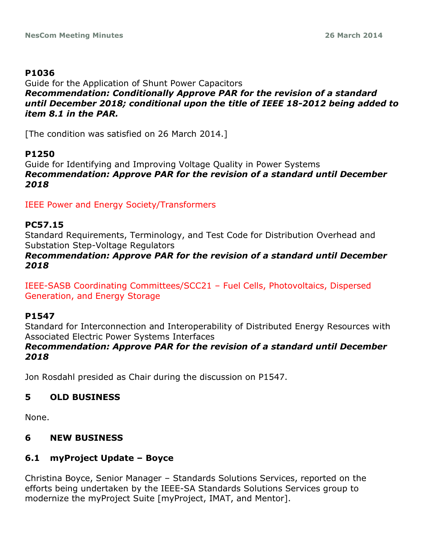# **P1036**

Guide for the Application of Shunt Power Capacitors *Recommendation: Conditionally Approve PAR for the revision of a standard until December 2018; conditional upon the title of IEEE 18-2012 being added to item 8.1 in the PAR.*

[The condition was satisfied on 26 March 2014.]

# **P1250**

Guide for Identifying and Improving Voltage Quality in Power Systems *Recommendation: Approve PAR for the revision of a standard until December 2018*

IEEE Power and Energy Society/Transformers

#### **PC57.15**

Standard Requirements, Terminology, and Test Code for Distribution Overhead and Substation Step-Voltage Regulators

# *Recommendation: Approve PAR for the revision of a standard until December 2018*

IEEE-SASB Coordinating Committees/SCC21 – Fuel Cells, Photovoltaics, Dispersed Generation, and Energy Storage

# **P1547**

Standard for Interconnection and Interoperability of Distributed Energy Resources with Associated Electric Power Systems Interfaces

# *Recommendation: Approve PAR for the revision of a standard until December 2018*

Jon Rosdahl presided as Chair during the discussion on P1547.

# **5 OLD BUSINESS**

None.

# **6 NEW BUSINESS**

# **6.1 myProject Update – Boyce**

Christina Boyce, Senior Manager – Standards Solutions Services, reported on the efforts being undertaken by the IEEE-SA Standards Solutions Services group to modernize the myProject Suite [myProject, IMAT, and Mentor].